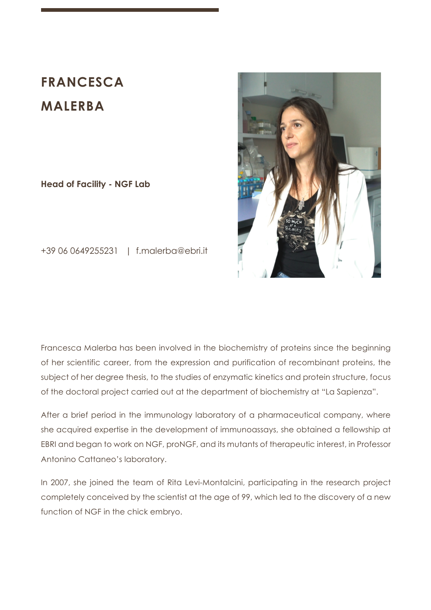# **FRANCESCA MALERBA**

**Head of Facility - NGF Lab** 



+39 06 0649255231 | f.malerba@ebri.it

Francesca Malerba has been involved in the biochemistry of proteins since the beginning of her scientific career, from the expression and purification of recombinant proteins, the subject of her degree thesis, to the studies of enzymatic kinetics and protein structure, focus of the doctoral project carried out at the department of biochemistry at "La Sapienza".

After a brief period in the immunology laboratory of a pharmaceutical company, where she acquired expertise in the development of immunoassays, she obtained a fellowship at EBRI and began to work on NGF, proNGF, and its mutants of therapeutic interest, in Professor Antonino Cattaneo's laboratory.

In 2007, she joined the team of Rita Levi-Montalcini, participating in the research project completely conceived by the scientist at the age of 99, which led to the discovery of a new function of NGF in the chick embryo.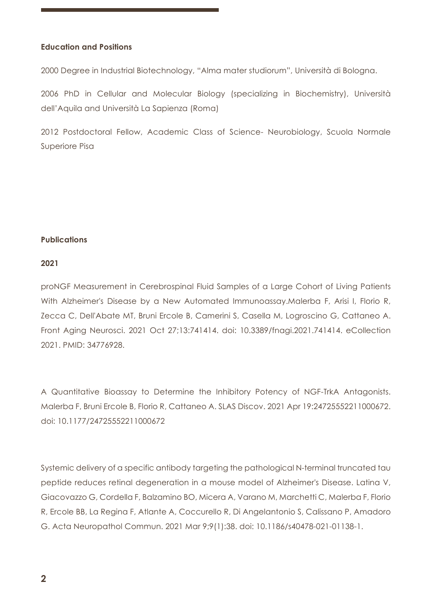## **Education and Positions**

2000 Degree in Industrial Biotechnology, "Alma mater studiorum", Università di Bologna.

2006 PhD in Cellular and Molecular Biology (specializing in Biochemistry), Università dell'Aquila and Università La Sapienza (Roma)

2012 Postdoctoral Fellow, Academic Class of Science- Neurobiology, Scuola Normale Superiore Pisa

## **Publications**

## **2021**

proNGF Measurement in Cerebrospinal Fluid Samples of a Large Cohort of Living Patients With Alzheimer's Disease by a New Automated Immunoassay.Malerba F, Arisi I, Florio R, Zecca C, Dell'Abate MT, Bruni Ercole B, Camerini S, Casella M, Logroscino G, Cattaneo A. Front Aging Neurosci. 2021 Oct 27;13:741414. doi: 10.3389/fnagi.2021.741414. eCollection 2021. PMID: 34776928.

A Quantitative Bioassay to Determine the Inhibitory Potency of NGF-TrkA Antagonists. Malerba F, Bruni Ercole B, Florio R, Cattaneo A. SLAS Discov. 2021 Apr 19:24725552211000672. doi: 10.1177/24725552211000672

Systemic delivery of a specific antibody targeting the pathological N-terminal truncated tau peptide reduces retinal degeneration in a mouse model of Alzheimer's Disease. Latina V, Giacovazzo G, Cordella F, Balzamino BO, Micera A, Varano M, Marchetti C, Malerba F, Florio R, Ercole BB, La Regina F, Atlante A, Coccurello R, Di Angelantonio S, Calissano P, Amadoro G. Acta Neuropathol Commun. 2021 Mar 9;9(1):38. doi: 10.1186/s40478-021-01138-1.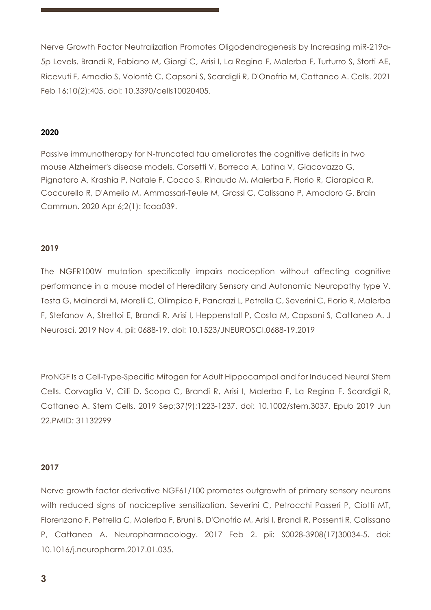Nerve Growth Factor Neutralization Promotes Oligodendrogenesis by Increasing miR-219a-5p Levels. Brandi R, Fabiano M, Giorgi C, Arisi I, La Regina F, Malerba F, Turturro S, Storti AE, Ricevuti F, Amadio S, Volontè C, Capsoni S, Scardigli R, D'Onofrio M, Cattaneo A. Cells. 2021 Feb 16;10(2):405. doi: 10.3390/cells10020405.

## **2020**

Passive immunotherapy for N-truncated tau ameliorates the cognitive deficits in two mouse Alzheimer's disease models. Corsetti V, Borreca A, Latina V, Giacovazzo G, Pignataro A, Krashia P, Natale F, Cocco S, Rinaudo M, Malerba F, Florio R, Ciarapica R, Coccurello R, D'Amelio M, Ammassari-Teule M, Grassi C, Calissano P, Amadoro G. Brain Commun. 2020 Apr 6;2(1): fcaa039.

### **2019**

The NGFR100W mutation specifically impairs nociception without affecting cognitive performance in a mouse model of Hereditary Sensory and Autonomic Neuropathy type V. Testa G, Mainardi M, Morelli C, Olimpico F, Pancrazi L, Petrella C, Severini C, Florio R, Malerba F, Stefanov A, Strettoi E, Brandi R, Arisi I, Heppenstall P, Costa M, Capsoni S, Cattaneo A. J Neurosci. 2019 Nov 4. pii: 0688-19. doi: 10.1523/JNEUROSCI.0688-19.2019

ProNGF Is a Cell-Type-Specific Mitogen for Adult Hippocampal and for Induced Neural Stem Cells. Corvaglia V, Cilli D, Scopa C, Brandi R, Arisi I, Malerba F, La Regina F, Scardigli R, Cattaneo A. Stem Cells. 2019 Sep;37(9):1223-1237. doi: 10.1002/stem.3037. Epub 2019 Jun 22.PMID: 31132299

#### **2017**

Nerve growth factor derivative NGF61/100 promotes outgrowth of primary sensory neurons with reduced signs of nociceptive sensitization. Severini C, Petrocchi Passeri P, Ciotti MT, Florenzano F, Petrella C, Malerba F, Bruni B, D'Onofrio M, Arisi I, Brandi R, Possenti R, Calissano P, Cattaneo A. Neuropharmacology. 2017 Feb 2. pii: S0028-3908(17)30034-5. doi: 10.1016/j.neuropharm.2017.01.035.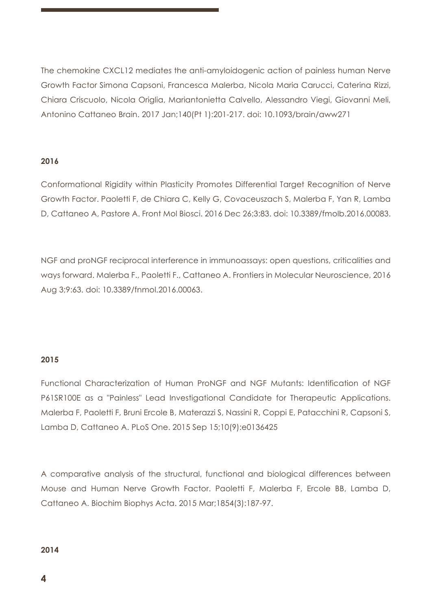The chemokine CXCL12 mediates the anti-amyloidogenic action of painless human Nerve Growth Factor Simona Capsoni, Francesca Malerba, Nicola Maria Carucci, Caterina Rizzi, Chiara Criscuolo, Nicola Origlia, Mariantonietta Calvello, Alessandro Viegi, Giovanni Meli, Antonino Cattaneo Brain. 2017 Jan;140(Pt 1):201-217. doi: 10.1093/brain/aww271

## **2016**

Conformational Rigidity within Plasticity Promotes Differential Target Recognition of Nerve Growth Factor. Paoletti F, de Chiara C, Kelly G, Covaceuszach S, Malerba F, Yan R, Lamba D, Cattaneo A, Pastore A. Front Mol Biosci. 2016 Dec 26;3:83. doi: 10.3389/fmolb.2016.00083.

NGF and proNGF reciprocal interference in immunoassays: open questions, criticalities and ways forward. Malerba F., Paoletti F., Cattaneo A. Frontiers in Molecular Neuroscience, 2016 Aug 3;9:63. doi: 10.3389/fnmol.2016.00063.

# **2015**

Functional Characterization of Human ProNGF and NGF Mutants: Identification of NGF P61SR100E as a "Painless" Lead Investigational Candidate for Therapeutic Applications. Malerba F, Paoletti F, Bruni Ercole B, Materazzi S, Nassini R, Coppi E, Patacchini R, Capsoni S, Lamba D, Cattaneo A. PLoS One. 2015 Sep 15;10(9):e0136425

A comparative analysis of the structural, functional and biological differences between Mouse and Human Nerve Growth Factor. Paoletti F, Malerba F, Ercole BB, Lamba D, Cattaneo A. Biochim Biophys Acta. 2015 Mar;1854(3):187-97.

## **2014**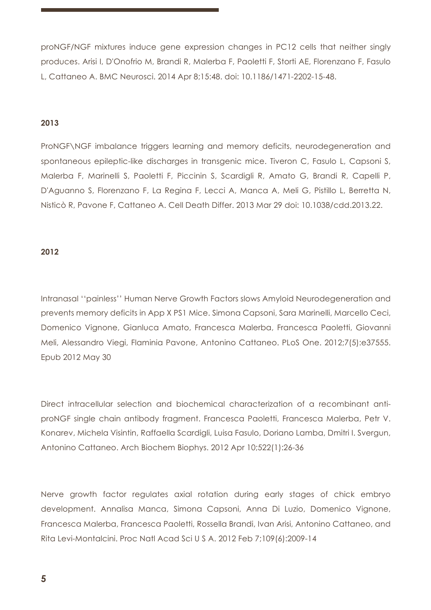proNGF/NGF mixtures induce gene expression changes in PC12 cells that neither singly produces. Arisi I, D'Onofrio M, Brandi R, Malerba F, Paoletti F, Storti AE, Florenzano F, Fasulo L, Cattaneo A. BMC Neurosci. 2014 Apr 8;15:48. doi: 10.1186/1471-2202-15-48.

## **2013**

ProNGF\NGF imbalance triggers learning and memory deficits, neurodegeneration and spontaneous epileptic-like discharges in transgenic mice. Tiveron C, Fasulo L, Capsoni S, Malerba F, Marinelli S, Paoletti F, Piccinin S, Scardigli R, Amato G, Brandi R, Capelli P, D'Aguanno S, Florenzano F, La Regina F, Lecci A, Manca A, Meli G, Pistillo L, Berretta N, Nisticò R, Pavone F, Cattaneo A. Cell Death Differ. 2013 Mar 29 doi: 10.1038/cdd.2013.22.

#### **2012**

Intranasal ''painless'' Human Nerve Growth Factors slows Amyloid Neurodegeneration and prevents memory deficits in App X PS1 Mice. Simona Capsoni, Sara Marinelli, Marcello Ceci, Domenico Vignone, Gianluca Amato, Francesca Malerba, Francesca Paoletti, Giovanni Meli, Alessandro Viegi, Flaminia Pavone, Antonino Cattaneo. PLoS One. 2012;7(5):e37555. Epub 2012 May 30

Direct intracellular selection and biochemical characterization of a recombinant antiproNGF single chain antibody fragment. Francesca Paoletti, Francesca Malerba, Petr V. Konarev, Michela Visintin, Raffaella Scardigli, Luisa Fasulo, Doriano Lamba, Dmitri I. Svergun, Antonino Cattaneo. Arch Biochem Biophys. 2012 Apr 10;522(1):26-36

Nerve growth factor regulates axial rotation during early stages of chick embryo development. Annalisa Manca, Simona Capsoni, Anna Di Luzio, Domenico Vignone, Francesca Malerba, Francesca Paoletti, Rossella Brandi, Ivan Arisi, Antonino Cattaneo, and Rita Levi-Montalcini. Proc Natl Acad Sci U S A. 2012 Feb 7;109(6):2009-14